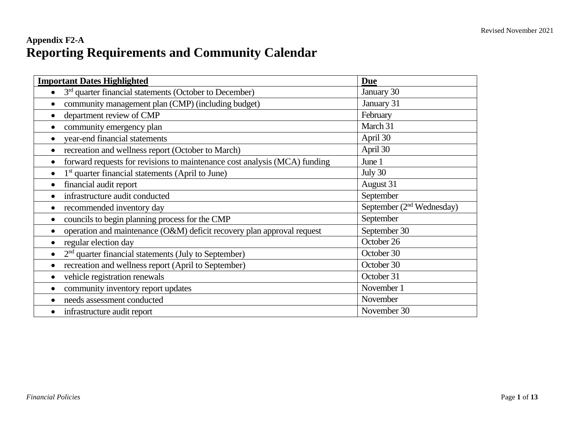### **Appendix F2-A Reporting Requirements and Community Calendar**

| <b>Important Dates Highlighted</b>                                        | <b>Due</b>                  |
|---------------------------------------------------------------------------|-----------------------------|
| $3rd$ quarter financial statements (October to December)<br>$\bullet$     | January 30                  |
| community management plan (CMP) (including budget)<br>$\bullet$           | January 31                  |
| department review of CMP<br>$\bullet$                                     | February                    |
| community emergency plan                                                  | March 31                    |
| year-end financial statements<br>$\bullet$                                | April 30                    |
| recreation and wellness report (October to March)<br>$\bullet$            | April 30                    |
| forward requests for revisions to maintenance cost analysis (MCA) funding | June 1                      |
| 1 <sup>st</sup> quarter financial statements (April to June)              | July 30                     |
| financial audit report<br>$\bullet$                                       | August 31                   |
| infrastructure audit conducted                                            | September                   |
| recommended inventory day                                                 | September $(2nd Wednesday)$ |
| councils to begin planning process for the CMP                            | September                   |
| operation and maintenance (O&M) deficit recovery plan approval request    | September 30                |
| regular election day                                                      | October 26                  |
| $2nd$ quarter financial statements (July to September)                    | October 30                  |
| recreation and wellness report (April to September)                       | October 30                  |
| vehicle registration renewals                                             | October 31                  |
| community inventory report updates                                        | November 1                  |
| needs assessment conducted                                                | November                    |
| infrastructure audit report<br>$\bullet$                                  | November 30                 |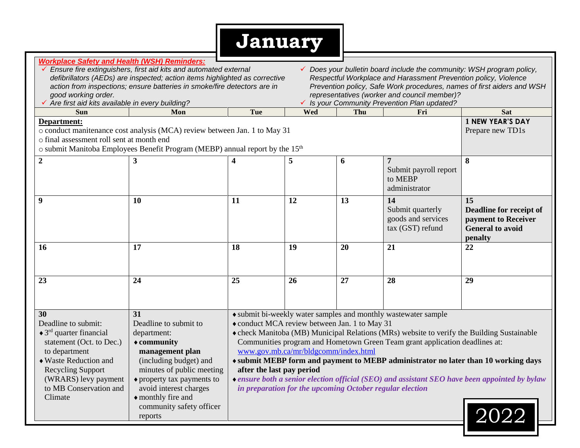## **January**

|                                                                                                                                                                                                                                                                                               | <b>Workplace Safety and Health (WSH) Reminders:</b>                                      |                                               |                                                          |     |                                                                                            |                                                                                               |  |  |  |  |
|-----------------------------------------------------------------------------------------------------------------------------------------------------------------------------------------------------------------------------------------------------------------------------------------------|------------------------------------------------------------------------------------------|-----------------------------------------------|----------------------------------------------------------|-----|--------------------------------------------------------------------------------------------|-----------------------------------------------------------------------------------------------|--|--|--|--|
| ← Ensure fire extinguishers, first aid kits and automated external<br>✔ Does your bulletin board include the community: WSH program policy,<br>Respectful Workplace and Harassment Prevention policy, Violence<br>defibrillators (AEDs) are inspected; action items highlighted as corrective |                                                                                          |                                               |                                                          |     |                                                                                            |                                                                                               |  |  |  |  |
|                                                                                                                                                                                                                                                                                               |                                                                                          |                                               |                                                          |     |                                                                                            |                                                                                               |  |  |  |  |
| action from inspections; ensure batteries in smoke/fire detectors are in                                                                                                                                                                                                                      | Prevention policy, Safe Work procedures, names of first aiders and WSH                   |                                               |                                                          |     |                                                                                            |                                                                                               |  |  |  |  |
| good working order.                                                                                                                                                                                                                                                                           | representatives (worker and council member)?                                             |                                               |                                                          |     |                                                                                            |                                                                                               |  |  |  |  |
| √ Are first aid kits available in every building?                                                                                                                                                                                                                                             |                                                                                          |                                               |                                                          |     |                                                                                            |                                                                                               |  |  |  |  |
| <b>Sun</b>                                                                                                                                                                                                                                                                                    | Mon                                                                                      | Tue                                           | Wed                                                      | Thu | Fri                                                                                        | <b>Sat</b><br><b>1 NEW YEAR'S DAY</b>                                                         |  |  |  |  |
| Department:                                                                                                                                                                                                                                                                                   |                                                                                          |                                               |                                                          |     |                                                                                            |                                                                                               |  |  |  |  |
| o final assessment roll sent at month end                                                                                                                                                                                                                                                     | o conduct manitenance cost analysis (MCA) review between Jan. 1 to May 31                |                                               |                                                          |     |                                                                                            | Prepare new TD1s                                                                              |  |  |  |  |
|                                                                                                                                                                                                                                                                                               |                                                                                          |                                               |                                                          |     |                                                                                            |                                                                                               |  |  |  |  |
|                                                                                                                                                                                                                                                                                               | o submit Manitoba Employees Benefit Program (MEBP) annual report by the 15 <sup>th</sup> |                                               |                                                          |     |                                                                                            |                                                                                               |  |  |  |  |
| $\overline{2}$                                                                                                                                                                                                                                                                                | 3                                                                                        | 4                                             | 5                                                        | 6   | $\overline{7}$                                                                             | 8                                                                                             |  |  |  |  |
|                                                                                                                                                                                                                                                                                               |                                                                                          |                                               |                                                          |     | Submit payroll report                                                                      |                                                                                               |  |  |  |  |
|                                                                                                                                                                                                                                                                                               |                                                                                          |                                               |                                                          |     | to MEBP                                                                                    |                                                                                               |  |  |  |  |
|                                                                                                                                                                                                                                                                                               |                                                                                          |                                               |                                                          |     | administrator                                                                              |                                                                                               |  |  |  |  |
| 9                                                                                                                                                                                                                                                                                             | 10                                                                                       | 11                                            | 12                                                       | 13  | 14                                                                                         | $\overline{15}$                                                                               |  |  |  |  |
|                                                                                                                                                                                                                                                                                               |                                                                                          |                                               |                                                          |     | Submit quarterly                                                                           | Deadline for receipt of                                                                       |  |  |  |  |
|                                                                                                                                                                                                                                                                                               |                                                                                          |                                               |                                                          |     | goods and services                                                                         | payment to Receiver                                                                           |  |  |  |  |
|                                                                                                                                                                                                                                                                                               |                                                                                          |                                               |                                                          |     | tax (GST) refund                                                                           | <b>General to avoid</b>                                                                       |  |  |  |  |
|                                                                                                                                                                                                                                                                                               |                                                                                          |                                               |                                                          |     |                                                                                            | penalty                                                                                       |  |  |  |  |
|                                                                                                                                                                                                                                                                                               |                                                                                          |                                               |                                                          |     |                                                                                            |                                                                                               |  |  |  |  |
| 16                                                                                                                                                                                                                                                                                            | 17                                                                                       | 18                                            | 19                                                       | 20  | 21                                                                                         | 22                                                                                            |  |  |  |  |
|                                                                                                                                                                                                                                                                                               |                                                                                          |                                               |                                                          |     |                                                                                            |                                                                                               |  |  |  |  |
|                                                                                                                                                                                                                                                                                               |                                                                                          |                                               |                                                          |     |                                                                                            |                                                                                               |  |  |  |  |
|                                                                                                                                                                                                                                                                                               |                                                                                          |                                               |                                                          |     |                                                                                            |                                                                                               |  |  |  |  |
| 23                                                                                                                                                                                                                                                                                            | 24                                                                                       | 25                                            | 26                                                       | 27  | 28                                                                                         | 29                                                                                            |  |  |  |  |
|                                                                                                                                                                                                                                                                                               |                                                                                          |                                               |                                                          |     |                                                                                            |                                                                                               |  |  |  |  |
|                                                                                                                                                                                                                                                                                               |                                                                                          |                                               |                                                          |     |                                                                                            |                                                                                               |  |  |  |  |
| 30                                                                                                                                                                                                                                                                                            | 31                                                                                       |                                               |                                                          |     | • submit bi-weekly water samples and monthly wastewater sample                             |                                                                                               |  |  |  |  |
| Deadline to submit:                                                                                                                                                                                                                                                                           | Deadline to submit to                                                                    | • conduct MCA review between Jan. 1 to May 31 |                                                          |     |                                                                                            |                                                                                               |  |  |  |  |
| $\triangleleft$ 3 <sup>rd</sup> quarter financial                                                                                                                                                                                                                                             | department:                                                                              |                                               |                                                          |     | • check Manitoba (MB) Municipal Relations (MRs) website to verify the Building Sustainable |                                                                                               |  |  |  |  |
| statement (Oct. to Dec.)                                                                                                                                                                                                                                                                      | $\triangle$ community                                                                    |                                               |                                                          |     | Communities program and Hometown Green Team grant application deadlines at:                |                                                                                               |  |  |  |  |
| to department                                                                                                                                                                                                                                                                                 | management plan                                                                          |                                               | www.gov.mb.ca/mr/bldgcomm/index.html                     |     |                                                                                            |                                                                                               |  |  |  |  |
| $\triangle$ Waste Reduction and                                                                                                                                                                                                                                                               | (including budget) and                                                                   |                                               |                                                          |     |                                                                                            |                                                                                               |  |  |  |  |
| <b>Recycling Support</b>                                                                                                                                                                                                                                                                      | minutes of public meeting                                                                | after the last pay period                     |                                                          |     |                                                                                            | + submit MEBP form and payment to MEBP administrator no later than 10 working days            |  |  |  |  |
| (WRARS) levy payment                                                                                                                                                                                                                                                                          | $\triangle$ property tax payments to                                                     |                                               |                                                          |     |                                                                                            | ◆ ensure both a senior election official (SEO) and assistant SEO have been appointed by bylaw |  |  |  |  |
| to MB Conservation and                                                                                                                                                                                                                                                                        | avoid interest charges                                                                   |                                               | in preparation for the upcoming October regular election |     |                                                                                            |                                                                                               |  |  |  |  |
| Climate                                                                                                                                                                                                                                                                                       | • monthly fire and                                                                       |                                               |                                                          |     |                                                                                            |                                                                                               |  |  |  |  |
|                                                                                                                                                                                                                                                                                               | community safety officer                                                                 |                                               |                                                          |     |                                                                                            |                                                                                               |  |  |  |  |
|                                                                                                                                                                                                                                                                                               | reports                                                                                  |                                               |                                                          |     |                                                                                            |                                                                                               |  |  |  |  |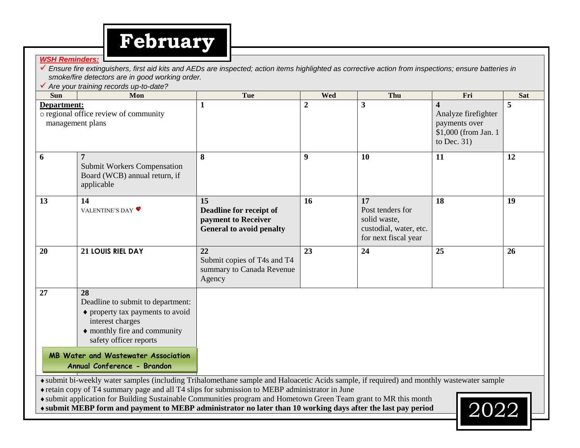# **February**

#### *WSH Reminders:*

 *Ensure fire extinguishers, first aid kits and AEDs are inspected; action items highlighted as corrective action from inspections; ensure batteries in smoke/fire detectors are in good working order.*

*Are your training records up-to-date?*

| <b>Sun</b>                                                               | Mon                                                                                                                                                                                                                                         | Tue                                                                                     | <b>Wed</b>     | Thu                                                                                      | Fri                                                                                               | <b>Sat</b> |
|--------------------------------------------------------------------------|---------------------------------------------------------------------------------------------------------------------------------------------------------------------------------------------------------------------------------------------|-----------------------------------------------------------------------------------------|----------------|------------------------------------------------------------------------------------------|---------------------------------------------------------------------------------------------------|------------|
| Department:<br>o regional office review of community<br>management plans |                                                                                                                                                                                                                                             | $\mathbf{1}$                                                                            | $\overline{2}$ | $\mathbf{3}$                                                                             | $\boldsymbol{4}$<br>Analyze firefighter<br>payments over<br>\$1,000 (from Jan. 1<br>to Dec. $31)$ | 5          |
| 6                                                                        | 7<br><b>Submit Workers Compensation</b><br>Board (WCB) annual return, if<br>applicable                                                                                                                                                      | 8                                                                                       | 9              | 10                                                                                       | 11                                                                                                | 12         |
| 13                                                                       | 14<br>VALENTINE'S DAY ♥                                                                                                                                                                                                                     | 15<br>Deadline for receipt of<br>payment to Receiver<br><b>General to avoid penalty</b> | 16             | 17<br>Post tenders for<br>solid waste,<br>custodial, water, etc.<br>for next fiscal year | 18                                                                                                | 19         |
| 20                                                                       | 21 LOUIS RIEL DAY                                                                                                                                                                                                                           | 22<br>Submit copies of T4s and T4<br>summary to Canada Revenue<br>Agency                | 23             | 24                                                                                       | 25                                                                                                | 26         |
| 27                                                                       | 28<br>Deadline to submit to department:<br>• property tax payments to avoid<br>interest charges<br>• monthly fire and community<br>safety officer reports                                                                                   |                                                                                         |                |                                                                                          |                                                                                                   |            |
|                                                                          | <b>MB Water and Wastewater Association</b><br>Annual Conference - Brandon                                                                                                                                                                   |                                                                                         |                |                                                                                          |                                                                                                   |            |
|                                                                          | • submit bi-weekly water samples (including Trihalomethane sample and Haloacetic Acids sample, if required) and monthly wastewater sample<br>• retain copy of T4 summary page and all T4 slips for submission to MEBP administrator in June |                                                                                         |                |                                                                                          |                                                                                                   |            |

submit application for Building Sustainable Communities program and Hometown Green Team grant to MR this month

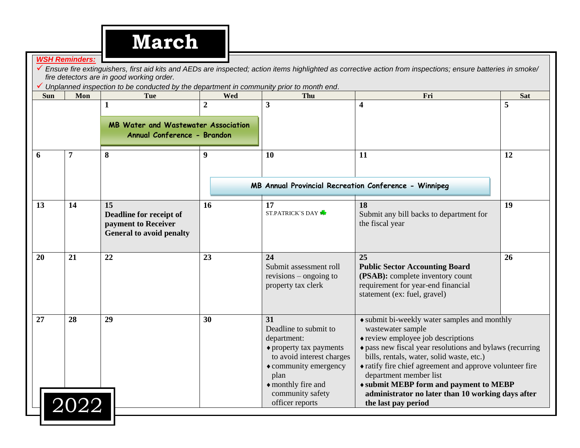|            | <b>WSH Reminders:</b>   | <b>March</b><br>fire detectors are in good working order.<br>Unplanned inspection to be conducted by the department in community prior to month end. |                 |                                                                                                                                                                                                          | Ensure fire extinguishers, first aid kits and AEDs are inspected; action items highlighted as corrective action from inspections; ensure batteries in smoke/                                                                                                                                                                                                                                                                 |                 |
|------------|-------------------------|------------------------------------------------------------------------------------------------------------------------------------------------------|-----------------|----------------------------------------------------------------------------------------------------------------------------------------------------------------------------------------------------------|------------------------------------------------------------------------------------------------------------------------------------------------------------------------------------------------------------------------------------------------------------------------------------------------------------------------------------------------------------------------------------------------------------------------------|-----------------|
| <b>Sun</b> | Mon                     | <b>Tue</b><br>1                                                                                                                                      | <b>Wed</b><br>2 | Thu<br>3                                                                                                                                                                                                 | Fri<br>$\overline{\mathbf{4}}$                                                                                                                                                                                                                                                                                                                                                                                               | <b>Sat</b><br>5 |
|            |                         | <b>MB Water and Wastewater Association</b><br>Annual Conference - Brandon                                                                            |                 |                                                                                                                                                                                                          |                                                                                                                                                                                                                                                                                                                                                                                                                              |                 |
| 6          | 7                       | 8                                                                                                                                                    | 9               | 10                                                                                                                                                                                                       | 11                                                                                                                                                                                                                                                                                                                                                                                                                           | 12              |
|            |                         |                                                                                                                                                      |                 |                                                                                                                                                                                                          | MB Annual Provincial Recreation Conference - Winnipeg                                                                                                                                                                                                                                                                                                                                                                        |                 |
| 13         | 14                      | 15<br>Deadline for receipt of<br>payment to Receiver<br><b>General to avoid penalty</b>                                                              | 16              | 17<br><b>ST.PATRICK S DAY</b>                                                                                                                                                                            | <b>18</b><br>Submit any bill backs to department for<br>the fiscal year                                                                                                                                                                                                                                                                                                                                                      | 19              |
| 20         | 21                      | 22                                                                                                                                                   | 23              | 24<br>Submit assessment roll<br>revisions – ongoing to<br>property tax clerk                                                                                                                             | 25<br><b>Public Sector Accounting Board</b><br>(PSAB): complete inventory count<br>requirement for year-end financial<br>statement (ex: fuel, gravel)                                                                                                                                                                                                                                                                        | 26              |
| 27         | 28<br>$\overline{2}022$ | 29                                                                                                                                                   | 30              | 31<br>Deadline to submit to<br>department:<br>• property tax payments<br>to avoid interest charges<br>$\bullet$ community emergency<br>plan<br>• monthly fire and<br>community safety<br>officer reports | • submit bi-weekly water samples and monthly<br>wastewater sample<br>• review employee job descriptions<br>• pass new fiscal year resolutions and bylaws (recurring<br>bills, rentals, water, solid waste, etc.)<br>• ratify fire chief agreement and approve volunteer fire<br>department member list<br>◆ submit MEBP form and payment to MEBP<br>administrator no later than 10 working days after<br>the last pay period |                 |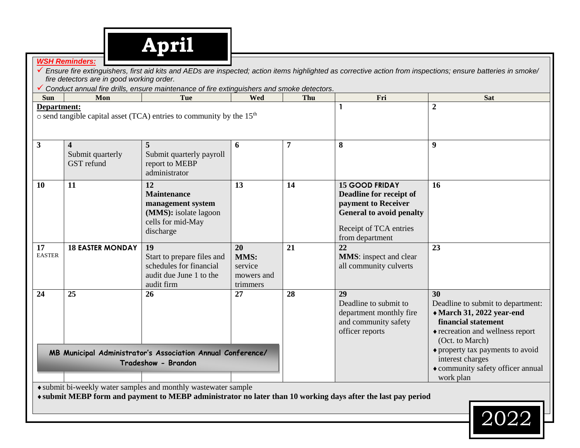*WSH Reminders:*

|                     | fire detectors are in good working order. | Conduct annual fire drills, ensure maintenance of fire extinguishers and smoke detectors.                |                                                 |     |                                                                                                                                                         |                                                                                                                                                                                        |
|---------------------|-------------------------------------------|----------------------------------------------------------------------------------------------------------|-------------------------------------------------|-----|---------------------------------------------------------------------------------------------------------------------------------------------------------|----------------------------------------------------------------------------------------------------------------------------------------------------------------------------------------|
| <b>Sun</b>          | Mon                                       | <b>Tue</b>                                                                                               | Wed                                             | Thu | Fri                                                                                                                                                     | <b>Sat</b>                                                                                                                                                                             |
| Department:         |                                           | o send tangible capital asset (TCA) entries to community by the 15 <sup>th</sup>                         |                                                 |     |                                                                                                                                                         | $\overline{2}$                                                                                                                                                                         |
| $\mathbf{3}$        | 4<br>Submit quarterly<br>GST refund       | Submit quarterly payroll<br>report to MEBP<br>administrator                                              | 6                                               | 7   | 8                                                                                                                                                       | 9                                                                                                                                                                                      |
| <b>10</b>           | 11                                        | 12<br><b>Maintenance</b><br>management system<br>(MMS): isolate lagoon<br>cells for mid-May<br>discharge | 13                                              | 14  | <b>15 GOOD FRIDAY</b><br>Deadline for receipt of<br>payment to Receiver<br><b>General to avoid penalty</b><br>Receipt of TCA entries<br>from department | 16                                                                                                                                                                                     |
| 17<br><b>EASTER</b> | <b>18 EASTER MONDAY</b>                   | 19<br>Start to prepare files and<br>schedules for financial<br>audit due June 1 to the<br>audit firm     | 20<br>MMS:<br>service<br>mowers and<br>trimmers | 21  | 22<br><b>MMS</b> : inspect and clear<br>all community culverts                                                                                          | 23                                                                                                                                                                                     |
| 24                  | 25                                        | 26                                                                                                       | 27                                              | 28  | 29<br>Deadline to submit to<br>department monthly fire<br>and community safety<br>officer reports                                                       | 30<br>Deadline to submit to department:<br>• March 31, 2022 year-end<br>financial statement<br>• recreation and wellness report<br>(Oct. to March)<br>• property tax payments to avoid |
|                     |                                           | MB Municipal Administrator's Association Annual Conference/<br>Tradeshow - Brandon                       |                                                 |     |                                                                                                                                                         | interest charges<br>• community safety officer annual<br>work plan                                                                                                                     |

submit bi-weekly water samples and monthly wastewater sample

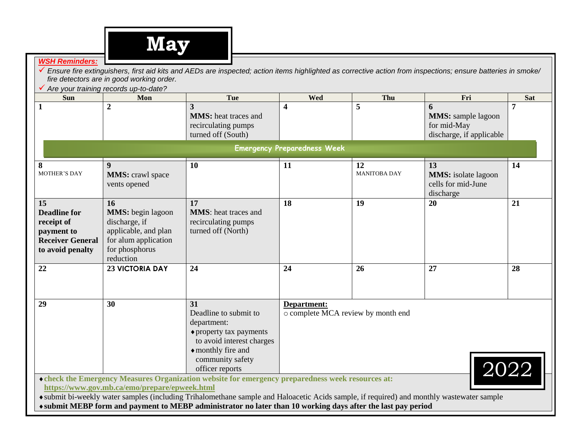

#### *WSH Reminders:*

 *Ensure fire extinguishers, first aid kits and AEDs are inspected; action items highlighted as corrective action from inspections; ensure batteries in smoke/ fire detectors are in good working order.* 

*Are your training records up-to-date?*

| <b>Sun</b>                                                                                           | Mon                                                                                                                             | <b>Tue</b>                                                                                                                                                                                                                                                                                                                                                   | Wed                                               | Thu                       | Fri                                                                       | <b>Sat</b>          |
|------------------------------------------------------------------------------------------------------|---------------------------------------------------------------------------------------------------------------------------------|--------------------------------------------------------------------------------------------------------------------------------------------------------------------------------------------------------------------------------------------------------------------------------------------------------------------------------------------------------------|---------------------------------------------------|---------------------------|---------------------------------------------------------------------------|---------------------|
| 1                                                                                                    | $\overline{2}$                                                                                                                  | 3<br><b>MMS</b> : heat traces and<br>recirculating pumps<br>turned off (South)                                                                                                                                                                                                                                                                               | $\overline{\mathbf{4}}$                           | 5                         | 6<br><b>MMS:</b> sample lagoon<br>for mid-May<br>discharge, if applicable | 7                   |
|                                                                                                      |                                                                                                                                 |                                                                                                                                                                                                                                                                                                                                                              | <b>Emergency Preparedness Week</b>                |                           |                                                                           |                     |
| 8<br><b>MOTHER'S DAY</b>                                                                             | 9<br><b>MMS:</b> crawl space<br>vents opened                                                                                    | 10                                                                                                                                                                                                                                                                                                                                                           | 11                                                | 12<br><b>MANITOBA DAY</b> | 13<br><b>MMS:</b> isolate lagoon<br>cells for mid-June<br>discharge       | 14                  |
| 15<br><b>Deadline for</b><br>receipt of<br>payment to<br><b>Receiver General</b><br>to avoid penalty | 16<br><b>MMS</b> : begin lagoon<br>discharge, if<br>applicable, and plan<br>for alum application<br>for phosphorus<br>reduction | 17<br><b>MMS</b> : heat traces and<br>recirculating pumps<br>turned off (North)                                                                                                                                                                                                                                                                              | 18                                                | 19                        | 20                                                                        | 21                  |
| 22                                                                                                   | <b>23 VICTORIA DAY</b>                                                                                                          | 24                                                                                                                                                                                                                                                                                                                                                           | 24                                                | 26                        | 27                                                                        | 28                  |
| 29                                                                                                   | 30                                                                                                                              | 31<br>Deadline to submit to<br>department:<br>$\triangle$ property tax payments<br>to avoid interest charges<br>◆ monthly fire and<br>community safety<br>officer reports                                                                                                                                                                                    | Department:<br>o complete MCA review by month end |                           |                                                                           | $ 20\overline{22} $ |
|                                                                                                      | https://www.gov.mb.ca/emo/prepare/epweek.html                                                                                   | • check the Emergency Measures Organization website for emergency preparedness week resources at:<br>• submit bi-weekly water samples (including Trihalomethane sample and Haloacetic Acids sample, if required) and monthly wastewater sample<br>qubmit MEDD form and normant to MEDD administrator no lotar than 10 weaking days often the lost noy nexted |                                                   |                           |                                                                           |                     |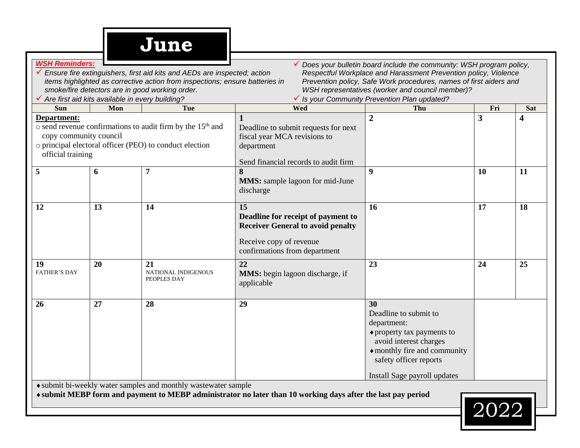| <b>WSH Reminders:</b>                                      | √ Are first aid kits available in every building? | Ensure fire extinguishers, first aid kits and AEDs are inspected; action<br>items highlighted as corrective action from inspections; ensure batteries in<br>smoke/fire detectors are in good working order. |                                                                                                                                                  | Does your bulletin board include the community: WSH program policy,<br>Respectful Workplace and Harassment Prevention policy, Violence<br>Prevention policy, Safe Work procedures, names of first aiders and<br>WSH representatives (worker and council member)?<br>√ Is your Community Prevention Plan updated? |     |            |
|------------------------------------------------------------|---------------------------------------------------|-------------------------------------------------------------------------------------------------------------------------------------------------------------------------------------------------------------|--------------------------------------------------------------------------------------------------------------------------------------------------|------------------------------------------------------------------------------------------------------------------------------------------------------------------------------------------------------------------------------------------------------------------------------------------------------------------|-----|------------|
| <b>Sun</b>                                                 | Mon                                               | <b>Tue</b>                                                                                                                                                                                                  | Wed                                                                                                                                              | Thu                                                                                                                                                                                                                                                                                                              | Fri | <b>Sat</b> |
| Department:<br>copy community council<br>official training |                                                   | o send revenue confirmations to audit firm by the 15 <sup>th</sup> and<br>o principal electoral officer (PEO) to conduct election                                                                           | Deadline to submit requests for next<br>fiscal year MCA revisions to<br>department<br>Send financial records to audit firm                       | $\overline{2}$                                                                                                                                                                                                                                                                                                   | 3   | 4          |
| 5                                                          | 6                                                 | 7                                                                                                                                                                                                           | 8<br><b>MMS:</b> sample lagoon for mid-June<br>discharge                                                                                         | 9                                                                                                                                                                                                                                                                                                                | 10  | 11         |
| 12                                                         | 13                                                | 14                                                                                                                                                                                                          | 15<br>Deadline for receipt of payment to<br><b>Receiver General to avoid penalty</b><br>Receive copy of revenue<br>confirmations from department | 16                                                                                                                                                                                                                                                                                                               | 17  | 18         |
| 19<br><b>FATHER'S DAY</b>                                  | 20                                                | 21<br><b>NATIONAL INDIGENOUS</b><br>PEOPLES DAY                                                                                                                                                             | 22<br><b>MMS</b> : begin lagoon discharge, if<br>applicable                                                                                      | 23                                                                                                                                                                                                                                                                                                               | 24  | 25         |
| 26                                                         | 27                                                | 28                                                                                                                                                                                                          | 29                                                                                                                                               | 30<br>Deadline to submit to<br>department:<br>◆ property tax payments to<br>avoid interest charges<br>• monthly fire and community<br>safety officer reports                                                                                                                                                     |     |            |
|                                                            |                                                   |                                                                                                                                                                                                             |                                                                                                                                                  | Install Sage payroll updates                                                                                                                                                                                                                                                                                     |     |            |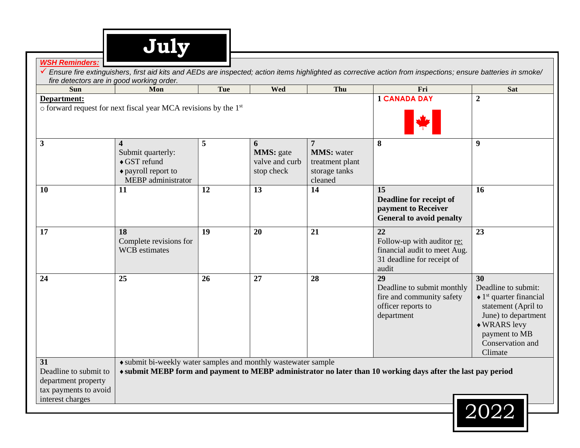| fire detectors are in good working order.<br><b>Sun</b>                                         | Mon                                                                                           | Tue | <b>Wed</b>                                             | Thu                                                                   | Fri                                                                                                          | <b>Sat</b>                                                                                                                                                                                   |
|-------------------------------------------------------------------------------------------------|-----------------------------------------------------------------------------------------------|-----|--------------------------------------------------------|-----------------------------------------------------------------------|--------------------------------------------------------------------------------------------------------------|----------------------------------------------------------------------------------------------------------------------------------------------------------------------------------------------|
| Department:                                                                                     | o forward request for next fiscal year MCA revisions by the 1 <sup>st</sup>                   |     |                                                        |                                                                       | <b>1 CANADA DAY</b>                                                                                          | $\overline{2}$                                                                                                                                                                               |
| 3                                                                                               | 4<br>Submit quarterly:<br>$\triangle$ GST refund<br>◆ payroll report to<br>MEBP administrator | 5   | 6<br><b>MMS</b> : gate<br>valve and curb<br>stop check | 7<br><b>MMS:</b> water<br>treatment plant<br>storage tanks<br>cleaned | 8                                                                                                            | 9                                                                                                                                                                                            |
| 10                                                                                              | 11                                                                                            | 12  | 13                                                     | 14                                                                    | 15<br>Deadline for receipt of<br>payment to Receiver<br><b>General to avoid penalty</b>                      | 16                                                                                                                                                                                           |
| 17                                                                                              | 18<br>Complete revisions for<br><b>WCB</b> estimates                                          | 19  | 20                                                     | 21                                                                    | 22<br>Follow-up with auditor re:<br>financial audit to meet Aug.<br>31 deadline for receipt of<br>audit      | 23                                                                                                                                                                                           |
| 24                                                                                              | 25                                                                                            | 26  | 27                                                     | 28                                                                    | 29<br>Deadline to submit monthly<br>fire and community safety<br>officer reports to<br>department            | 30<br>Deadline to submit:<br>$\triangleleft$ 1 <sup>st</sup> quarter financial<br>statement (April to<br>June) to department<br>◆ WRARS levy<br>payment to MB<br>Conservation and<br>Climate |
| 31<br>Deadline to submit to<br>department property<br>tax payments to avoid<br>interest charges | • submit bi-weekly water samples and monthly wastewater sample                                |     |                                                        |                                                                       | ◆ submit MEBP form and payment to MEBP administrator no later than 10 working days after the last pay period | 2022                                                                                                                                                                                         |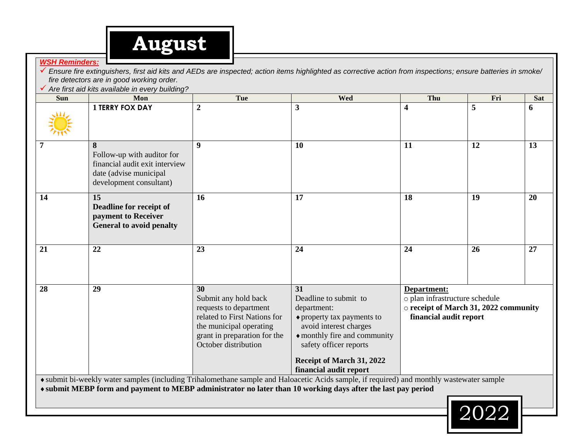

#### *WSH Reminders:*

 *Ensure fire extinguishers, first aid kits and AEDs are inspected; action items highlighted as corrective action from inspections; ensure batteries in smoke/ fire detectors are in good working order.*

*Are first aid kits available in every building?*

| Sun | Mon                                                                                                                    | Tue                                                                                                                                                                     | Wed                                                                                                                                                                                                                                                       | Thu                                                                                                              | Fri | <b>Sat</b> |
|-----|------------------------------------------------------------------------------------------------------------------------|-------------------------------------------------------------------------------------------------------------------------------------------------------------------------|-----------------------------------------------------------------------------------------------------------------------------------------------------------------------------------------------------------------------------------------------------------|------------------------------------------------------------------------------------------------------------------|-----|------------|
|     | <b>1 TERRY FOX DAY</b>                                                                                                 | $\boldsymbol{2}$                                                                                                                                                        | $\mathbf{3}$                                                                                                                                                                                                                                              | 4                                                                                                                | 5   | 6          |
| 7   | 8<br>Follow-up with auditor for<br>financial audit exit interview<br>date (advise municipal<br>development consultant) | $\boldsymbol{9}$                                                                                                                                                        | 10                                                                                                                                                                                                                                                        | 11                                                                                                               | 12  | 13         |
| 14  | 15<br>Deadline for receipt of<br>payment to Receiver<br><b>General to avoid penalty</b>                                | 16                                                                                                                                                                      | 17                                                                                                                                                                                                                                                        | 18                                                                                                               | 19  | 20         |
| 21  | 22                                                                                                                     | 23                                                                                                                                                                      | 24                                                                                                                                                                                                                                                        | 24                                                                                                               | 26  | 27         |
| 28  | 29                                                                                                                     | 30<br>Submit any hold back<br>requests to department<br>related to First Nations for<br>the municipal operating<br>grant in preparation for the<br>October distribution | 31<br>Deadline to submit to<br>department:<br>• property tax payments to<br>avoid interest charges<br>• monthly fire and community<br>safety officer reports<br>Receipt of March 31, 2022<br>financial audit report                                       | Department:<br>o plan infrastructure schedule<br>o receipt of March 31, 2022 community<br>financial audit report |     |            |
|     |                                                                                                                        |                                                                                                                                                                         | • submit bi-weekly water samples (including Trihalomethane sample and Haloacetic Acids sample, if required) and monthly wastewater sample<br>* submit MEBP form and payment to MEBP administrator no later than 10 working days after the last pay period |                                                                                                                  |     |            |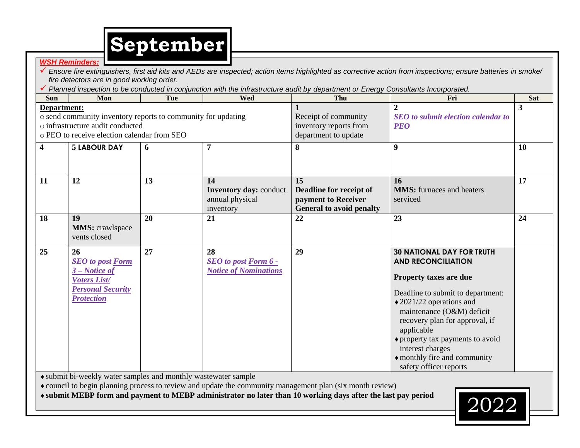

*WSH Reminders: Ensure fire extinguishers, first aid kits and AEDs are inspected; action items highlighted as corrective action from inspections; ensure batteries in smoke/ fire detectors are in good working order. Planned inspection to be conducted in conjunction with the infrastructure audit by department or Energy Consultants Incorporated.* **Sun Mon Tue Wed Thu Fri Sat Department:** o send community inventory reports to community for updating o infrastructure audit conducted o PEO to receive election calendar from SEO **1** Receipt of community inventory reports from department to update **2** *SEO to submit election calendar to PEO* **3 4 5 LABOUR DAY 6 7 8 9 10 11 12 13 14 Inventory day:** conduct annual physical inventory **15 Deadline for receipt of payment to Receiver General to avoid penalty 16 MMS:** furnaces and heaters serviced **17 18 19 MMS:** crawlspace vents closed **20 21 22 23 24 25 26** *SEO to post Form 3 – Notice of Voters List/ Personal Security Protection* **27 28** *SEO to post Form 6 - Notice of Nominations* **29 30 NATIONAL DAY FOR TRUTH AND RECONCILIATION Property taxes are due** Deadline to submit to department: 2021/22 operations and maintenance (O&M) deficit recovery plan for approval, if applicable property tax payments to avoid

submit bi-weekly water samples and monthly wastewater sample

council to begin planning process to review and update the community management plan (six month review)

**submit MEBP form and payment to MEBP administrator no later than 10 working days after the last pay period** 2022



interest charges

monthly fire and community safety officer reports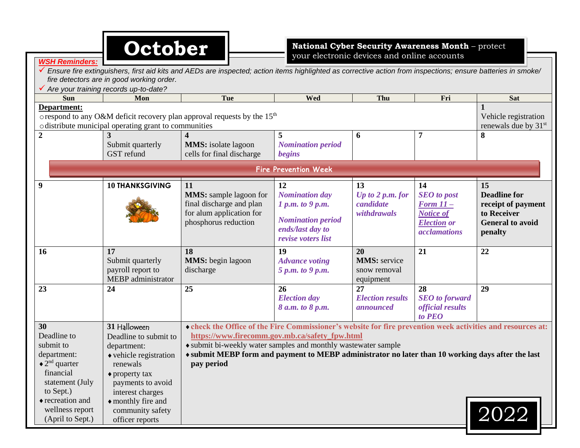|                                                                                                                                                                                         | October                                                                                                                                                                                                                    |                                                                                                                                                                                                                                                                                                                                                    |                                                                                                                       | National Cyber Security Awareness Month - protect<br>your electronic devices and online accounts |                                                                                                              |                                                                                                      |
|-----------------------------------------------------------------------------------------------------------------------------------------------------------------------------------------|----------------------------------------------------------------------------------------------------------------------------------------------------------------------------------------------------------------------------|----------------------------------------------------------------------------------------------------------------------------------------------------------------------------------------------------------------------------------------------------------------------------------------------------------------------------------------------------|-----------------------------------------------------------------------------------------------------------------------|--------------------------------------------------------------------------------------------------|--------------------------------------------------------------------------------------------------------------|------------------------------------------------------------------------------------------------------|
| <b>WSH Reminders.</b>                                                                                                                                                                   | fire detectors are in good working order.<br>√ Are your training records up-to-date?                                                                                                                                       | Ensure fire extinguishers, first aid kits and AEDs are inspected; action items highlighted as corrective action from inspections; ensure batteries in smoke/                                                                                                                                                                                       |                                                                                                                       |                                                                                                  |                                                                                                              |                                                                                                      |
| <b>Sun</b>                                                                                                                                                                              | Mon                                                                                                                                                                                                                        | Tue                                                                                                                                                                                                                                                                                                                                                | Wed                                                                                                                   | Thu                                                                                              | Fri                                                                                                          | <b>Sat</b>                                                                                           |
| Department:                                                                                                                                                                             | o distribute municipal operating grant to communities                                                                                                                                                                      | orespond to any O&M deficit recovery plan approval requests by the $15th$                                                                                                                                                                                                                                                                          |                                                                                                                       |                                                                                                  |                                                                                                              | Vehicle registration<br>renewals due by $31st$                                                       |
| $\overline{2}$                                                                                                                                                                          | Submit quarterly<br><b>GST</b> refund                                                                                                                                                                                      | <b>MMS</b> : isolate lagoon<br>cells for final discharge                                                                                                                                                                                                                                                                                           | <b>Nomination period</b><br>begins                                                                                    | 6                                                                                                | 7                                                                                                            | 8                                                                                                    |
|                                                                                                                                                                                         |                                                                                                                                                                                                                            |                                                                                                                                                                                                                                                                                                                                                    | <b>Fire Prevention Week</b>                                                                                           |                                                                                                  |                                                                                                              |                                                                                                      |
| 9                                                                                                                                                                                       | <b>10 THANKSGIVING</b>                                                                                                                                                                                                     | 11<br><b>MMS:</b> sample lagoon for<br>final discharge and plan<br>for alum application for<br>phosphorus reduction                                                                                                                                                                                                                                | 12<br><b>Nomination day</b><br>1 p.m. to 9 p.m.<br><b>Nomination period</b><br>ends/last day to<br>revise voters list | 13<br>Up to $2 p.m.$ for<br>candidate<br>withdrawals                                             | 14<br><b>SEO</b> to post<br><b>Form 11-</b><br><b>Notice of</b><br><b>Election or</b><br><i>acclamations</i> | 15<br><b>Deadline for</b><br>receipt of payment<br>to Receiver<br><b>General to avoid</b><br>penalty |
| <b>16</b>                                                                                                                                                                               | 17<br>Submit quarterly<br>payroll report to<br>MEBP administrator                                                                                                                                                          | 18<br><b>MMS</b> : begin lagoon<br>discharge                                                                                                                                                                                                                                                                                                       | 19<br><b>Advance voting</b><br>5 p.m. to 9 p.m.                                                                       | 20<br><b>MMS</b> : service<br>snow removal<br>equipment                                          | 21                                                                                                           | 22                                                                                                   |
| 23                                                                                                                                                                                      | 24                                                                                                                                                                                                                         | 25                                                                                                                                                                                                                                                                                                                                                 | 26<br><b>Election</b> day<br>8 a.m. to 8 p.m.                                                                         | 27<br><b>Election results</b><br><i>announced</i>                                                | 28<br><b>SEO</b> to forward<br><i>official results</i><br>to PEO                                             | 29                                                                                                   |
| 30<br>Deadline to<br>submit to<br>department:<br>$\triangleleft 2^{nd}$ quarter<br>financial<br>statement (July<br>to Sept.)<br>◆ recreation and<br>wellness report<br>(April to Sept.) | 31 Halloween<br>Deadline to submit to<br>department:<br>• vehicle registration<br>renewals<br>$\bullet$ property tax<br>payments to avoid<br>interest charges<br>• monthly fire and<br>community safety<br>officer reports | • check the Office of the Fire Commissioner's website for fire prevention week activities and resources at:<br>https://www.firecomm.gov.mb.ca/safety_fpw.html<br>• submit bi-weekly water samples and monthly wastewater sample<br>* submit MEBP form and payment to MEBP administrator no later than 10 working days after the last<br>pay period |                                                                                                                       |                                                                                                  |                                                                                                              | $\mid$ 2022                                                                                          |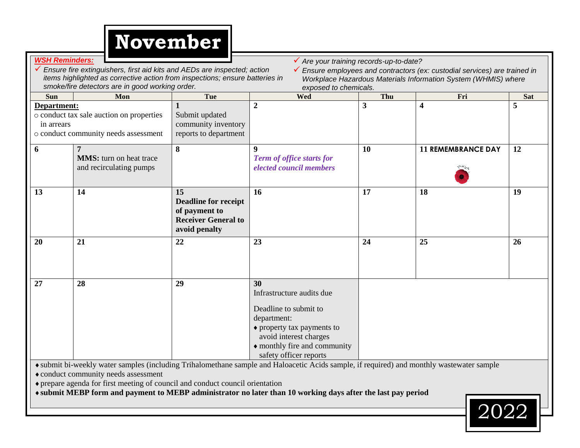

|                                                                                                                                                                                 | <b>WSH Reminders:</b><br>✔ Are your training records-up-to-date?<br>$\checkmark$ Ensure fire extinguishers, first aid kits and AEDs are inspected; action<br>✔ Ensure employees and contractors (ex: custodial services) are trained in<br>items highlighted as corrective action from inspections; ensure batteries in<br>Workplace Hazardous Materials Information System (WHMIS) where<br>smoke/fire detectors are in good working order.<br>exposed to chemicals. |                                                                                                   |                                                           |                         |                           |    |  |  |  |  |
|---------------------------------------------------------------------------------------------------------------------------------------------------------------------------------|-----------------------------------------------------------------------------------------------------------------------------------------------------------------------------------------------------------------------------------------------------------------------------------------------------------------------------------------------------------------------------------------------------------------------------------------------------------------------|---------------------------------------------------------------------------------------------------|-----------------------------------------------------------|-------------------------|---------------------------|----|--|--|--|--|
| Tue<br>Wed<br>Thu<br>Fri<br>Mon<br><b>Sat</b><br><b>Sun</b>                                                                                                                     |                                                                                                                                                                                                                                                                                                                                                                                                                                                                       |                                                                                                   |                                                           |                         |                           |    |  |  |  |  |
| Department:<br>o conduct tax sale auction on properties<br>Submit updated<br>community inventory<br>in arrears<br>o conduct community needs assessment<br>reports to department |                                                                                                                                                                                                                                                                                                                                                                                                                                                                       |                                                                                                   | $\overline{2}$                                            | $\overline{\mathbf{3}}$ | $\overline{\mathbf{4}}$   | 5  |  |  |  |  |
| 6                                                                                                                                                                               | 7<br><b>MMS:</b> turn on heat trace<br>and recirculating pumps                                                                                                                                                                                                                                                                                                                                                                                                        | 8                                                                                                 | 9<br>Term of office starts for<br>elected council members | <b>10</b>               | <b>11 REMEMBRANCE DAY</b> | 12 |  |  |  |  |
| 13                                                                                                                                                                              | 14                                                                                                                                                                                                                                                                                                                                                                                                                                                                    | 15<br><b>Deadline for receipt</b><br>of payment to<br><b>Receiver General to</b><br>avoid penalty | 16                                                        | 17                      | 18                        | 19 |  |  |  |  |
| 20                                                                                                                                                                              | 21                                                                                                                                                                                                                                                                                                                                                                                                                                                                    | 22                                                                                                | 23                                                        | 24                      | 25                        | 26 |  |  |  |  |
| 27                                                                                                                                                                              | 28<br>29<br>30<br>Infrastructure audits due<br>Deadline to submit to<br>department:<br>• property tax payments to<br>avoid interest charges<br>• monthly fire and community<br>safety officer reports<br>• submit bi-weekly water samples (including Trihalomethane sample and Haloacetic Acids sample, if required) and monthly wastewater sample                                                                                                                    |                                                                                                   |                                                           |                         |                           |    |  |  |  |  |

conduct community needs assessment

prepare agenda for first meeting of council and conduct council orientation